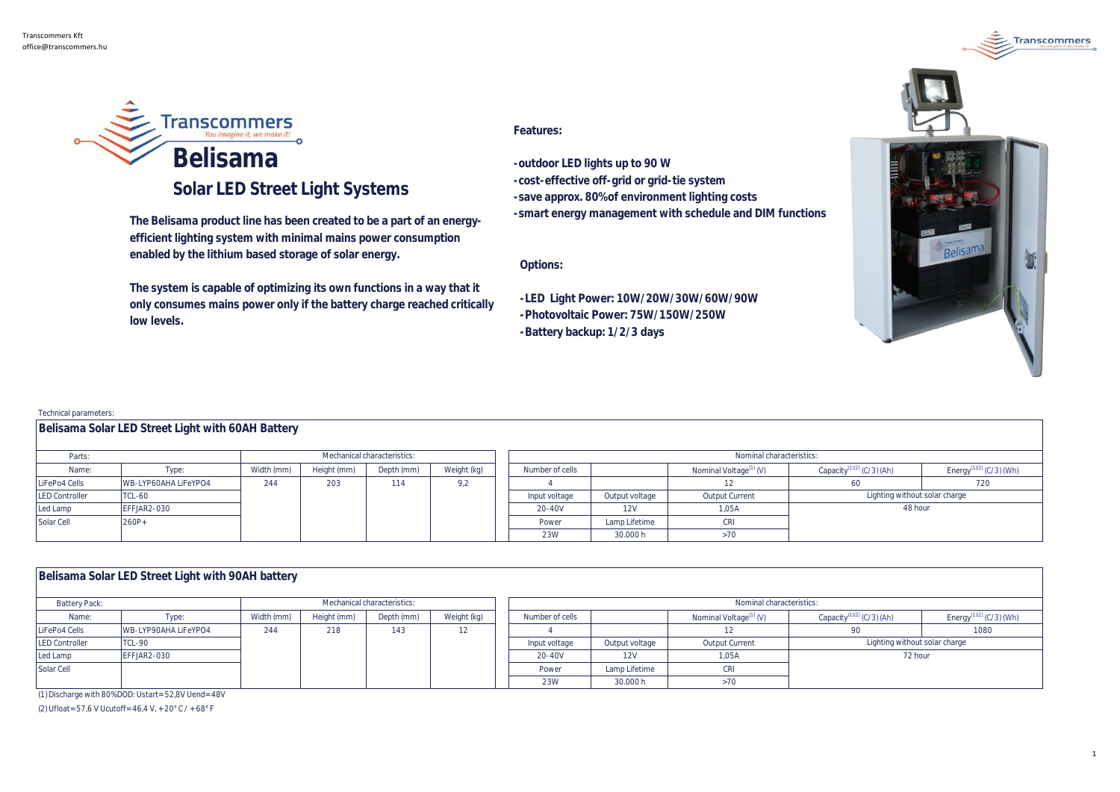

## **Solar LED Street Light Systems**

**The Belisama product line has been created to be a part of an energyefficient lighting system with minimal mains power consumption enabled by the lithium based storage of solar energy.** 

**The system is capable of optimizing its own functions in a way that it only consumes mains power only if the battery charge reached critically low levels.** 

## **Features:**

**-outdoor LED lights up to 90 W -cost-effective off-grid or grid-tie system -save approx. 80% of environment lighting costs -smart energy management with schedule and DIM functions**

**Options:**

**-LED Light Power: 10W/20W/30W/60W/90W -Photovoltaic Power: 75W/150W/250W -Battery backup: 1/2/3 days**



**Transcommers** 

Technical parameters:

| .                     |                      |                             |             |            |             |                 |                          |                |                                    |                                       |                                     |  |
|-----------------------|----------------------|-----------------------------|-------------|------------|-------------|-----------------|--------------------------|----------------|------------------------------------|---------------------------------------|-------------------------------------|--|
| Parts:                |                      | Mechanical characteristics: |             |            |             |                 | Nominal characteristics: |                |                                    |                                       |                                     |  |
| Name:                 | Type:                | Width (mm)                  | Height (mm) | Depth (mm) | Weight (kg) | Number of cells |                          |                | Nominal Voltage <sup>(1)</sup> (V) | Capacity <sup>(1)(2)</sup> (C/3) (Ah) | Energy <sup>(1)(2)</sup> (C/3) (Wh) |  |
| LiFePo4 Cells         | WB-LYP60AHA LiFeYPO4 | 244                         | 203         | 114        | 9,2         |                 |                          |                |                                    |                                       | 720                                 |  |
| <b>LED Controller</b> | TCL-60               |                             |             |            |             | Input voltage   |                          | Output voltage | Output Current                     | Lighting without solar charge         |                                     |  |
| Led Lamp              | EFFJAR2-030          |                             |             |            |             | 20-40V          |                          | 12V            | 1.05A                              | 48 hour                               |                                     |  |
| Solar Cell            | 260P+                |                             |             |            |             | Power           |                          | Lamp Lifetime  | CRI                                |                                       |                                     |  |
|                       |                      |                             |             |            |             | 23W             |                          | 30.000 h       | >70                                |                                       |                                     |  |

| Belisama Solar LED Street Light with 90AH battery |  |
|---------------------------------------------------|--|
|                                                   |  |

**Belisama Solar LED Street Light with 60AH Battery**

| Battery Pack:         |                      | Mechanical characteristics: |             |            |             | Nominal characteristics: |                |                                    |                                       |                                     |  |
|-----------------------|----------------------|-----------------------------|-------------|------------|-------------|--------------------------|----------------|------------------------------------|---------------------------------------|-------------------------------------|--|
| Name:                 | l ype:               | Width (mm)                  | Height (mm) | Depth (mm) | Weight (kg) | Number of cells          |                | Nominal Voltage <sup>(1)</sup> (V) | Capacity <sup>(1)(2)</sup> (C/3) (Ah) | Energy <sup>(1)(2)</sup> (C/3) (Wh) |  |
| LiFePo4 Cells         | WB-LYP90AHA LiFeYPO4 | 244                         | 218         | 143        |             |                          |                |                                    |                                       | 1080                                |  |
| <b>LED Controller</b> | TCL-90               |                             |             |            |             | Input voltage            | Output voltage | Output Current                     | Lighting without solar charge         |                                     |  |
| Led Lamp              | EFFJAR2-030          |                             |             |            |             | 20-40V                   | 12V            | 1.05A                              | 72 hour                               |                                     |  |
| Solar Cell            |                      |                             |             |            |             | Power                    | Lamp Lifetime  |                                    |                                       |                                     |  |
|                       |                      |                             |             |            |             | 23W                      | 30.000 h       |                                    |                                       |                                     |  |

(1) Discharge with 80% DOD: Ustart= 52,8V Uend= 48V

(2) Ufloat= 57,6 V Ucutoff= 46,4 V, + 20°C / + 68°F